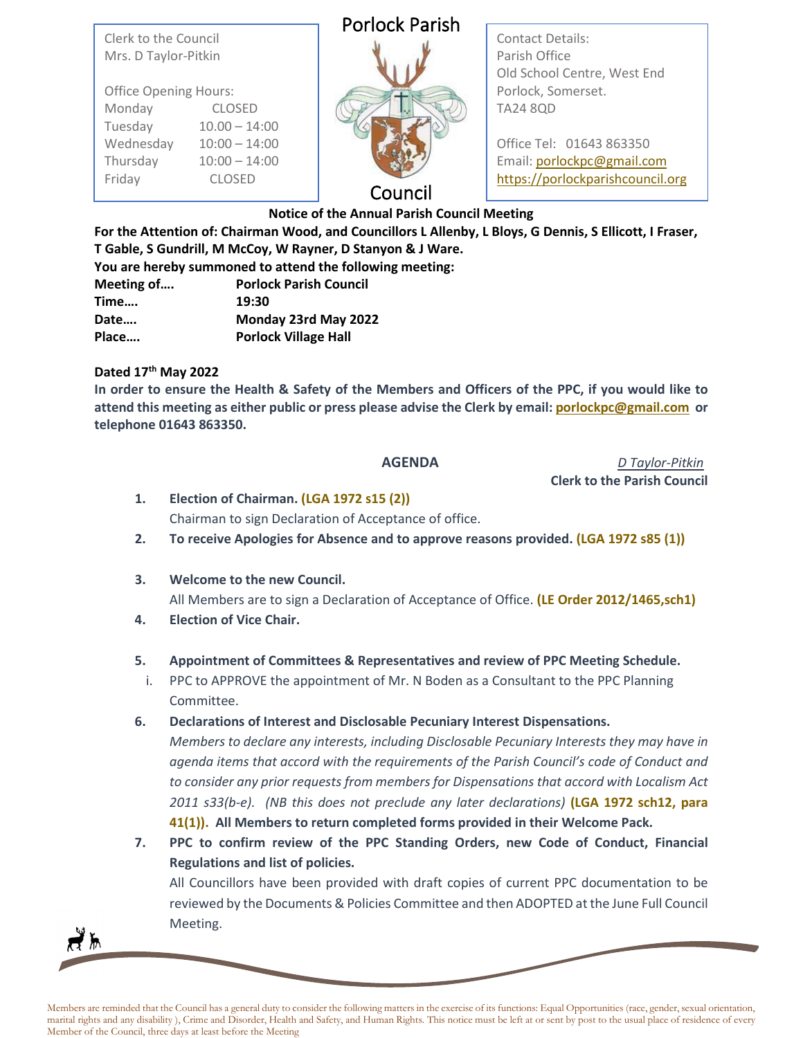Clerk to the Council Mrs. D Taylor-Pitkin

Office Opening Hours: Monday CLOSED Tuesday 10.00 – 14:00 Wednesday 10:00 – 14:00 Thursday 10:00 – 14:00 Friday CLOSED

|  |  |  | <b>Porlock Parish</b> |  |
|--|--|--|-----------------------|--|
|--|--|--|-----------------------|--|



Contact Details: Parish Office Old School Centre, West End Porlock, Somerset. TA24 8QD

Office Tel: 01643 863350 Email: [porlockpc@gmail.com](mailto:porlockpc@gmail.com) [https://porlockparishcouncil.org](https://porlockparishcouncil.org/)

## Council

**Notice of the Annual Parish Council Meeting**

**For the Attention of: Chairman Wood, and Councillors L Allenby, L Bloys, G Dennis, S Ellicott, I Fraser, T Gable, S Gundrill, M McCoy, W Rayner, D Stanyon & J Ware.** 

|            | You are hereby summoned to attend the following meeting: |
|------------|----------------------------------------------------------|
| Meeting of | <b>Porlock Parish Council</b>                            |
| Time       | 19:30                                                    |
| Date       | Monday 23rd May 2022                                     |
| Place      | <b>Porlock Village Hall</b>                              |

## **Dated 17th May 2022**

**In order to ensure the Health & Safety of the Members and Officers of the PPC, if you would like to attend this meeting as either public or press please advise the Clerk by email[: porlockpc@gmail.com](mailto:porlockpc@gmail.com) or telephone 01643 863350.**

**AGENDA** *D Taylor-Pitkin*  **Clerk to the Parish Council**

- **1. Election of Chairman. (LGA 1972 s15 (2))** Chairman to sign Declaration of Acceptance of office.
- **2. To receive Apologies for Absence and to approve reasons provided. (LGA 1972 s85 (1))**
- **3. Welcome to the new Council.**

All Members are to sign a Declaration of Acceptance of Office. **(LE Order 2012/1465,sch1)**

**4. Election of Vice Chair.**

## **5. Appointment of Committees & Representatives and review of PPC Meeting Schedule.**

- i. PPC to APPROVE the appointment of Mr. N Boden as a Consultant to the PPC Planning Committee.
- **6. Declarations of Interest and Disclosable Pecuniary Interest Dispensations.**

*Members to declare any interests, including Disclosable Pecuniary Interests they may have in agenda items that accord with the requirements of the Parish Council's code of Conduct and to consider any prior requests from members for Dispensations that accord with Localism Act 2011 s33(b-e). (NB this does not preclude any later declarations)* **(LGA 1972 sch12, para 41(1)). All Members to return completed forms provided in their Welcome Pack.**

**7. PPC to confirm review of the PPC Standing Orders, new Code of Conduct, Financial Regulations and list of policies.**

All Councillors have been provided with draft copies of current PPC documentation to be reviewed by the Documents & Policies Committee and then ADOPTED at the June Full Council Meeting.



Members are reminded that the Council has a general duty to consider the following matters in the exercise of its functions: Equal Opportunities (race, gender, sexual orientation, marital rights and any disability ), Crime and Disorder, Health and Safety, and Human Rights. This notice must be left at or sent by post to the usual place of residence of every Member of the Council, three days at least before the Meeting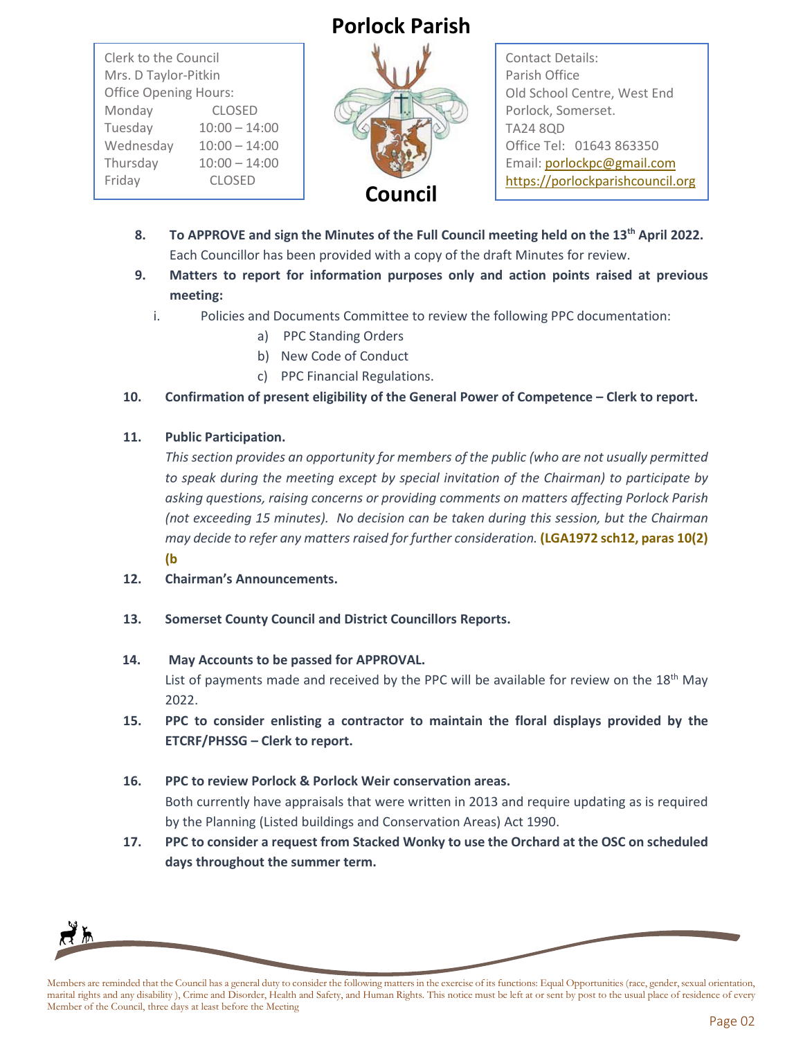# **Porlock Parish**

Clerk to the Council Mrs. D Taylor-Pitkin Office Opening Hours: Monday CLOSED Tuesday 10:00 – 14:00 Wednesday 10:00 – 14:00 Thursday 10:00 – 14:00 Friday CLOSED



Contact Details: Parish Office Old School Centre, West End Porlock, Somerset. TA24 8QD Office Tel: 01643 863350 Email[: porlockpc@gmail.com](mailto:porlockpc@gmail.com) [https://porlockparishcouncil.org](https://porlockparishcouncil.org/)

- **8. To APPROVE and sign the Minutes of the Full Council meeting held on the 13th April 2022.** Each Councillor has been provided with a copy of the draft Minutes for review.
- **9. Matters to report for information purposes only and action points raised at previous meeting:**
	- i. Policies and Documents Committee to review the following PPC documentation:
		- a) PPC Standing Orders
		- b) New Code of Conduct
		- c) PPC Financial Regulations.
- **10. Confirmation of present eligibility of the General Power of Competence – Clerk to report.**

#### **11. Public Participation.**

*This section provides an opportunity for members of the public (who are not usually permitted to speak during the meeting except by special invitation of the Chairman) to participate by asking questions, raising concerns or providing comments on matters affecting Porlock Parish (not exceeding 15 minutes). No decision can be taken during this session, but the Chairman may decide to refer any matters raised for further consideration.* **(LGA1972 sch12, paras 10(2) (b**

- **12. Chairman's Announcements.**
- **13. Somerset County Council and District Councillors Reports.**

## **14. May Accounts to be passed for APPROVAL.**

List of payments made and received by the PPC will be available for review on the  $18<sup>th</sup>$  May 2022.

- **15. PPC to consider enlisting a contractor to maintain the floral displays provided by the ETCRF/PHSSG – Clerk to report.**
- **16. PPC to review Porlock & Porlock Weir conservation areas.**  Both currently have appraisals that were written in 2013 and require updating as is required by the Planning (Listed buildings and Conservation Areas) Act 1990.
- **17. PPC to consider a request from Stacked Wonky to use the Orchard at the OSC on scheduled days throughout the summer term.**



Members are reminded that the Council has a general duty to consider the following matters in the exercise of its functions: Equal Opportunities (race, gender, sexual orientation, marital rights and any disability ), Crime and Disorder, Health and Safety, and Human Rights. This notice must be left at or sent by post to the usual place of residence of every Member of the Council, three days at least before the Meeting